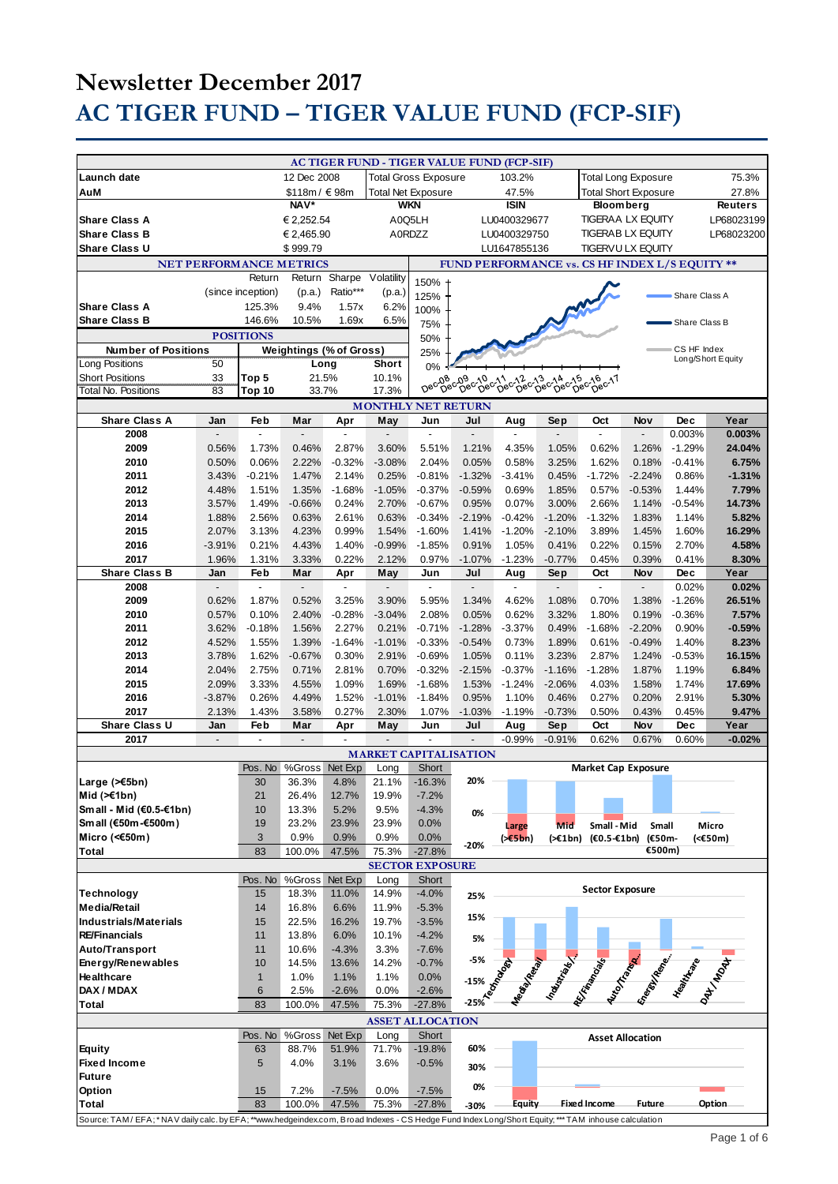|                                                                                                                                                |                          |                          |                                |                          |                | AC TIGER FUND - TIGER VALUE FUND (FCP-SIF)               |                                   |                          |                          |                             |                         |                    |                  |
|------------------------------------------------------------------------------------------------------------------------------------------------|--------------------------|--------------------------|--------------------------------|--------------------------|----------------|----------------------------------------------------------|-----------------------------------|--------------------------|--------------------------|-----------------------------|-------------------------|--------------------|------------------|
| Launch date                                                                                                                                    |                          |                          | 12 Dec 2008                    |                          |                | <b>Total Gross Exposure</b>                              |                                   | 103.2%                   |                          | <b>Total Long Exposure</b>  |                         |                    | 75.3%            |
| AuM                                                                                                                                            |                          |                          | \$118m / €98m                  |                          |                | <b>Total Net Exposure</b>                                |                                   | 47.5%                    |                          | <b>Total Short Exposure</b> |                         |                    | 27.8%            |
|                                                                                                                                                |                          | NAV*                     |                                | <b>WKN</b>               |                |                                                          | <b>ISIN</b>                       |                          | <b>Bloomberg</b>         |                             |                         | <b>Reuters</b>     |                  |
| <b>Share Class A</b>                                                                                                                           |                          |                          | € 2.252.54                     |                          | A0Q5LH         |                                                          |                                   | LU0400329677             |                          | TIGERAA LX EQUITY           |                         |                    | LP68023199       |
| <b>Share Class B</b>                                                                                                                           |                          |                          | € 2,465.90                     |                          | A0RDZZ         |                                                          |                                   | LU0400329750             |                          | <b>TIGERAB LX EQUITY</b>    |                         |                    | LP68023200       |
| <b>Share Class U</b>                                                                                                                           |                          |                          | \$999.79                       |                          |                |                                                          |                                   | LU1647855136             |                          | TIGERVU LX EQUITY           |                         |                    |                  |
| <b>NET PERFORMANCE METRICS</b><br><b>FUND PERFORMANCE vs. CS HF INDEX L/S EQUITY **</b>                                                        |                          |                          |                                |                          |                |                                                          |                                   |                          |                          |                             |                         |                    |                  |
|                                                                                                                                                |                          | Return                   | Return                         | Sharpe                   | Volatility     | 150%                                                     |                                   |                          |                          |                             |                         |                    |                  |
|                                                                                                                                                |                          | (since inception)        | (p.a.)                         | Ratio***                 | (p.a.)         | 125%                                                     |                                   |                          |                          |                             |                         | Share Class A      |                  |
| <b>Share Class A</b>                                                                                                                           |                          | 125.3%                   | 9.4%                           | 1.57x                    | 6.2%           | 100%                                                     |                                   |                          |                          |                             |                         |                    |                  |
| <b>Share Class B</b>                                                                                                                           |                          | 146.6%                   | 10.5%                          | 1.69x                    | 6.5%           | 75%                                                      |                                   |                          |                          |                             |                         | Share Class B      |                  |
|                                                                                                                                                |                          | <b>POSITIONS</b>         |                                |                          |                | 50%                                                      |                                   |                          |                          |                             |                         |                    |                  |
| <b>Number of Positions</b>                                                                                                                     |                          |                          | <b>Weightings (% of Gross)</b> |                          |                | 25%                                                      |                                   |                          |                          |                             |                         | CS HF Index        |                  |
| Long Positions                                                                                                                                 | 50                       |                          | Long                           |                          | Short          | 0%                                                       |                                   |                          |                          |                             |                         | Long/Short Equity  |                  |
| <b>Short Positions</b>                                                                                                                         | 33                       | Top 5                    | 21.5%                          |                          | 10.1%          |                                                          |                                   |                          |                          |                             |                         |                    |                  |
| Total No. Positions                                                                                                                            | 83                       | Top 10                   | 33.7%                          |                          | 17.3%          |                                                          |                                   |                          |                          |                             |                         |                    |                  |
|                                                                                                                                                |                          |                          |                                |                          |                | <b>MONTHLY NET RETURN</b>                                |                                   |                          |                          |                             |                         |                    |                  |
| <b>Share Class A</b>                                                                                                                           | Jan                      | Feb                      | Mar                            | Apr                      | May            | Jun                                                      | Jul                               | Aug                      | Sep                      | Oct<br>$\overline{a}$       | Nov                     | <b>Dec</b>         | Year             |
| 2008<br>2009                                                                                                                                   | 0.56%                    | 1.73%                    | 0.46%                          | 2.87%                    | 3.60%          | 5.51%                                                    | $\overline{\phantom{a}}$<br>1.21% | 4.35%                    | 1.05%                    | 0.62%                       | 1.26%                   | 0.003%<br>$-1.29%$ | 0.003%<br>24.04% |
| 2010                                                                                                                                           | 0.50%                    | 0.06%                    | 2.22%                          | $-0.32%$                 | $-3.08%$       | 2.04%                                                    | 0.05%                             | 0.58%                    | 3.25%                    | 1.62%                       | 0.18%                   | $-0.41%$           | 6.75%            |
| 2011                                                                                                                                           | 3.43%                    | $-0.21%$                 | 1.47%                          | 2.14%                    | 0.25%          | $-0.81%$                                                 | $-1.32%$                          | $-3.41%$                 | 0.45%                    | $-1.72%$                    | $-2.24%$                | 0.86%              | $-1.31%$         |
| 2012                                                                                                                                           | 4.48%                    | 1.51%                    | 1.35%                          | $-1.68%$                 | $-1.05%$       | $-0.37%$                                                 | $-0.59%$                          | 0.69%                    | 1.85%                    | 0.57%                       | $-0.53%$                | 1.44%              | 7.79%            |
| 2013                                                                                                                                           | 3.57%                    | 1.49%                    | $-0.66%$                       | 0.24%                    | 2.70%          | $-0.67%$                                                 | 0.95%                             | 0.07%                    | 3.00%                    | 2.66%                       | 1.14%                   | $-0.54%$           | 14.73%           |
| 2014                                                                                                                                           | 1.88%                    | 2.56%                    | 0.63%                          | 2.61%                    | 0.63%          | $-0.34%$                                                 | $-2.19%$                          | $-0.42%$                 | $-1.20%$                 | $-1.32%$                    | 1.83%                   | 1.14%              | 5.82%            |
| 2015                                                                                                                                           | 2.07%                    | 3.13%                    | 4.23%                          | 0.99%                    | 1.54%          | $-1.60%$                                                 | 1.41%                             | $-1.20%$                 | $-2.10%$                 | 3.89%                       | 1.45%                   | 1.60%              | 16.29%           |
| 2016                                                                                                                                           | $-3.91%$                 | 0.21%                    | 4.43%                          | 1.40%                    | $-0.99%$       | $-1.85%$                                                 | 0.91%                             | 1.05%                    | 0.41%                    | 0.22%                       | 0.15%                   | 2.70%              | 4.58%            |
| 2017                                                                                                                                           | 1.96%                    | 1.31%                    | 3.33%                          | 0.22%                    | 2.12%          | 0.97%                                                    | $-1.07%$                          | $-1.23%$                 | $-0.77%$                 | 0.45%                       | 0.39%                   | 0.41%              | 8.30%            |
| <b>Share Class B</b>                                                                                                                           | Jan                      | Feb                      | Mar                            | Apr                      | May            | Jun                                                      | Jul                               | Aug                      | Sep                      | Oct                         | <b>Nov</b>              | <b>Dec</b>         | Year             |
| 2008                                                                                                                                           | $\overline{\phantom{a}}$ | $\overline{a}$           | $\overline{a}$                 | $\blacksquare$           | $\blacksquare$ | $\overline{a}$                                           | $\blacksquare$                    | $\blacksquare$           | $\overline{\phantom{a}}$ | $\overline{a}$              | $\overline{a}$          | 0.02%              | 0.02%            |
| 2009                                                                                                                                           | 0.62%                    | 1.87%                    | 0.52%                          | 3.25%                    | 3.90%          | 5.95%                                                    | 1.34%                             | 4.62%                    | 1.08%                    | 0.70%                       | 1.38%                   | $-1.26%$           | 26.51%           |
| 2010                                                                                                                                           | 0.57%                    | 0.10%                    | 2.40%                          | $-0.28%$                 | $-3.04%$       | 2.08%                                                    | 0.05%                             | 0.62%                    | 3.32%                    | 1.80%                       | 0.19%                   | $-0.36%$           | 7.57%            |
| 2011                                                                                                                                           | 3.62%                    | $-0.18%$                 | 1.56%                          | 2.27%                    | 0.21%          | $-0.71%$                                                 | $-1.28%$                          | $-3.37%$                 | 0.49%                    | $-1.68%$                    | $-2.20%$                | 0.90%              | $-0.59%$         |
| 2012                                                                                                                                           | 4.52%                    | 1.55%                    | 1.39%                          | $-1.64%$                 | $-1.01%$       | $-0.33%$                                                 | $-0.54%$                          | 0.73%                    | 1.89%                    | 0.61%                       | $-0.49%$                | 1.40%              | 8.23%            |
| 2013                                                                                                                                           | 3.78%                    | 1.62%                    | $-0.67%$                       | 0.30%                    | 2.91%          | $-0.69%$                                                 | 1.05%                             | 0.11%                    | 3.23%                    | 2.87%                       | 1.24%                   | $-0.53%$           | 16.15%           |
| 2014                                                                                                                                           | 2.04%                    | 2.75%                    | 0.71%                          | 2.81%                    | 0.70%          | $-0.32%$                                                 | $-2.15%$                          | $-0.37%$                 | $-1.16%$                 | $-1.28%$                    | 1.87%                   | 1.19%              | 6.84%            |
| 2015                                                                                                                                           | 2.09%                    | 3.33%                    | 4.55%                          | 1.09%                    | 1.69%          | $-1.68%$                                                 | 1.53%                             | $-1.24%$                 | $-2.06%$                 | 4.03%                       | 1.58%                   | 1.74%              | 17.69%           |
| 2016                                                                                                                                           | $-3.87%$                 | 0.26%                    | 4.49%                          | 1.52%                    | $-1.01%$       | $-1.84%$                                                 | 0.95%                             | 1.10%                    | 0.46%                    | 0.27%                       | 0.20%                   | 2.91%              | 5.30%            |
| 2017                                                                                                                                           | 2.13%                    | 1.43%                    | 3.58%                          | 0.27%                    | 2.30%          | 1.07%                                                    | $-1.03%$                          | $-1.19%$                 | $-0.73%$                 | 0.50%                       | 0.43%                   | 0.45%              | 9.47%            |
| Share Class U                                                                                                                                  | Jan                      | Feb                      | Mar                            | Apr                      | May            | Jun                                                      | Jul<br>$\overline{a}$             | Aug                      | Sep                      | Oct                         | Nov                     | <b>Dec</b>         | Year             |
| 2017                                                                                                                                           | $\overline{a}$           | $\overline{\phantom{a}}$ | $\overline{a}$                 | $\overline{\phantom{a}}$ | $\overline{a}$ | $\overline{\phantom{a}}$<br><b>MARKET CAPITALISATION</b> |                                   | $-0.99%$                 | $-0.91%$                 | 0.62%                       | 0.67%                   | 0.60%              | $-0.02%$         |
|                                                                                                                                                |                          |                          | Pos. No %Gross Net Exp         |                          | Long           | <b>Short</b>                                             |                                   |                          |                          | <b>Market Cap Exposure</b>  |                         |                    |                  |
| Large (>€5bn)                                                                                                                                  |                          | 30                       | 36.3%                          | 4.8%                     | 21.1%          | -16.3%                                                   | 20%                               |                          |                          |                             |                         |                    |                  |
| Mid $(\ge 1$ bn)                                                                                                                               |                          | 21                       | 26.4%                          | 12.7%                    | 19.9%          | $-7.2%$                                                  |                                   |                          |                          |                             |                         |                    |                  |
| Small - Mid (€0.5-€1bn)                                                                                                                        |                          | 10                       | 13.3%                          | 5.2%                     | 9.5%           | $-4.3%$                                                  | 0%                                |                          |                          |                             |                         |                    |                  |
| Small (€50m-€500m)                                                                                                                             |                          | 19                       | 23.2%                          | 23.9%                    | 23.9%          | 0.0%                                                     |                                   | Large                    | Mid                      | Small - Mid                 | Small                   |                    | Micro            |
| Micro (<€50m)                                                                                                                                  |                          | 3                        | 0.9%                           | 0.9%                     | 0.9%           | 0.0%                                                     |                                   | (55bn)                   | (>€1bn)                  | $(60.5 - 61$ bn)            | (€50m-                  |                    | (<€50m)          |
| <b>Total</b>                                                                                                                                   |                          | 83                       | 100.0%                         | 47.5%                    | 75.3%          | $-27.8%$                                                 | $-20%$                            |                          |                          |                             | €500m)                  |                    |                  |
|                                                                                                                                                |                          |                          |                                |                          |                | <b>SECTOR EXPOSURE</b>                                   |                                   |                          |                          |                             |                         |                    |                  |
|                                                                                                                                                |                          | Pos. No                  | %Gross                         | Net Exp                  | Long           | Short                                                    |                                   |                          |                          |                             |                         |                    |                  |
| Technology                                                                                                                                     |                          | 15                       | 18.3%                          | 11.0%                    | 14.9%          | $-4.0%$                                                  | 25%                               |                          |                          | <b>Sector Exposure</b>      |                         |                    |                  |
| <b>Media/Retail</b>                                                                                                                            |                          | 14                       | 16.8%                          | 6.6%                     | 11.9%          | $-5.3%$                                                  |                                   |                          |                          |                             |                         |                    |                  |
| Industrials/Materials                                                                                                                          |                          | 15                       | 22.5%                          | 16.2%                    | 19.7%          | $-3.5%$                                                  | 15%                               |                          |                          |                             |                         |                    |                  |
| <b>RE/Financials</b>                                                                                                                           |                          | 11                       | 13.8%                          | 6.0%                     | 10.1%          | $-4.2%$                                                  | 5%                                |                          |                          |                             |                         |                    |                  |
| Auto/Transport                                                                                                                                 |                          | 11                       | 10.6%                          | $-4.3%$                  | 3.3%           | $-7.6%$                                                  |                                   |                          |                          |                             |                         |                    |                  |
| Energy/Renewables                                                                                                                              |                          | 10                       | 14.5%                          | 13.6%                    | 14.2%          | $-0.7%$                                                  |                                   |                          |                          |                             |                         |                    |                  |
| Healthcare                                                                                                                                     |                          | $\mathbf{1}$             | 1.0%                           | 1.1%                     | 1.1%           | 0.0%                                                     |                                   |                          |                          |                             |                         |                    |                  |
| DAX / MDAX<br><b>Total</b>                                                                                                                     |                          | 6<br>83                  | 2.5%                           | $-2.6%$                  | 0.0%           | $-2.6%$                                                  | -15% is deep                      | Ma <sub>disinesian</sub> |                          | Indian Maria R.             |                         | Essex Marie Road   |                  |
|                                                                                                                                                |                          |                          | 100.0%                         | 47.5%                    | 75.3%          | $-27.8%$                                                 |                                   |                          |                          |                             |                         |                    |                  |
|                                                                                                                                                |                          |                          |                                |                          |                | <b>ASSET ALLOCATION</b>                                  |                                   |                          |                          |                             |                         |                    |                  |
| <b>Equity</b>                                                                                                                                  |                          | Pos. No<br>63            | %Gross<br>88.7%                | Net Exp<br>51.9%         | Long<br>71.7%  | Short<br>$-19.8%$                                        | 60%                               |                          |                          |                             | <b>Asset Allocation</b> |                    |                  |
| <b>Fixed Income</b>                                                                                                                            |                          | 5                        | 4.0%                           | 3.1%                     | 3.6%           | $-0.5%$                                                  |                                   |                          |                          |                             |                         |                    |                  |
| <b>Future</b>                                                                                                                                  |                          |                          |                                |                          |                |                                                          | 30%                               |                          |                          |                             |                         |                    |                  |
| Option                                                                                                                                         |                          | 15                       | 7.2%                           | $-7.5%$                  | 0.0%           | $-7.5%$                                                  | 0%                                |                          |                          |                             |                         |                    |                  |
| Total                                                                                                                                          |                          | 83                       | 100.0%                         | 47.5%                    | 75.3%          | $-27.8%$                                                 | $-30%$                            | <b>Equity</b>            |                          | <b>Fixed Income</b>         | Future                  |                    | Option           |
| Source: TAM/EFA;*NAV daily calc. by EFA;**www.hedgeindex.com, Broad Indexes - CS Hedge Fund Index Long/Short Equity;***TAM inhouse calculation |                          |                          |                                |                          |                |                                                          |                                   |                          |                          |                             |                         |                    |                  |
|                                                                                                                                                |                          |                          |                                |                          |                |                                                          |                                   |                          |                          |                             |                         |                    |                  |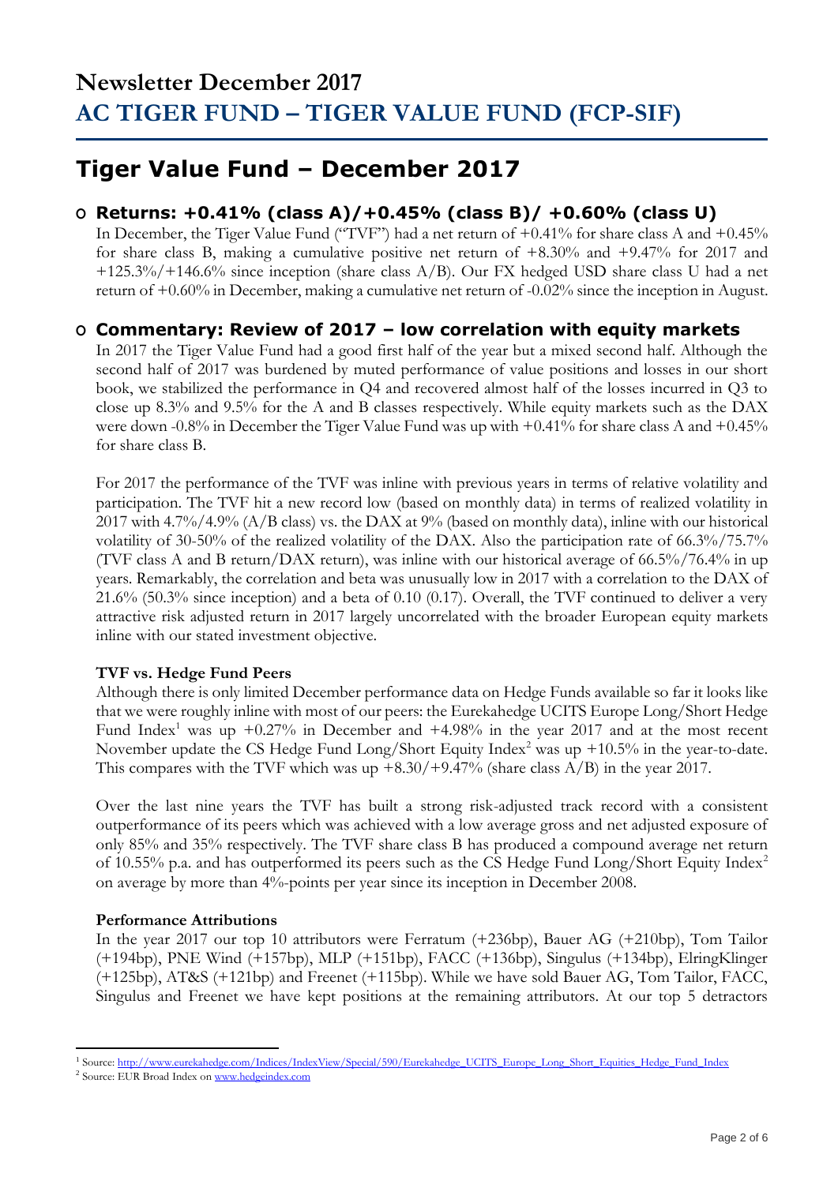## **Tiger Value Fund – December 2017**

## **O Returns: +0.41% (class A)/+0.45% (class B)/ +0.60% (class U)**

In December, the Tiger Value Fund ("TVF") had a net return of +0.41% for share class A and +0.45% for share class B, making a cumulative positive net return of +8.30% and +9.47% for 2017 and +125.3%/+146.6% since inception (share class A/B). Our FX hedged USD share class U had a net return of +0.60% in December, making a cumulative net return of -0.02% since the inception in August.

### **O Commentary: Review of 2017 – low correlation with equity markets**

In 2017 the Tiger Value Fund had a good first half of the year but a mixed second half. Although the second half of 2017 was burdened by muted performance of value positions and losses in our short book, we stabilized the performance in Q4 and recovered almost half of the losses incurred in Q3 to close up 8.3% and 9.5% for the A and B classes respectively. While equity markets such as the DAX were down -0.8% in December the Tiger Value Fund was up with +0.41% for share class A and +0.45% for share class B.

For 2017 the performance of the TVF was inline with previous years in terms of relative volatility and participation. The TVF hit a new record low (based on monthly data) in terms of realized volatility in 2017 with 4.7%/4.9% (A/B class) vs. the DAX at 9% (based on monthly data), inline with our historical volatility of 30-50% of the realized volatility of the DAX. Also the participation rate of 66.3%/75.7% (TVF class A and B return/DAX return), was inline with our historical average of 66.5%/76.4% in up years. Remarkably, the correlation and beta was unusually low in 2017 with a correlation to the DAX of 21.6% (50.3% since inception) and a beta of 0.10 (0.17). Overall, the TVF continued to deliver a very attractive risk adjusted return in 2017 largely uncorrelated with the broader European equity markets inline with our stated investment objective.

### **TVF vs. Hedge Fund Peers**

Although there is only limited December performance data on Hedge Funds available so far it looks like that we were roughly inline with most of our peers: the Eurekahedge UCITS Europe Long/Short Hedge Fund Index<sup>1</sup> was up  $+0.27\%$  in December and  $+4.98\%$  in the year 2017 and at the most recent November update the CS Hedge Fund Long/Short Equity Index<sup>2</sup> was up +10.5% in the year-to-date. This compares with the TVF which was up  $+8.30/+9.47%$  (share class A/B) in the year 2017.

Over the last nine years the TVF has built a strong risk-adjusted track record with a consistent outperformance of its peers which was achieved with a low average gross and net adjusted exposure of only 85% and 35% respectively. The TVF share class B has produced a compound average net return of 10.55% p.a. and has outperformed its peers such as the CS Hedge Fund Long/Short Equity Index<sup>2</sup> on average by more than 4%-points per year since its inception in December 2008.

### **Performance Attributions**

In the year 2017 our top 10 attributors were Ferratum (+236bp), Bauer AG (+210bp), Tom Tailor (+194bp), PNE Wind (+157bp), MLP (+151bp), FACC (+136bp), Singulus (+134bp), ElringKlinger (+125bp), AT&S (+121bp) and Freenet (+115bp). While we have sold Bauer AG, Tom Tailor, FACC, Singulus and Freenet we have kept positions at the remaining attributors. At our top 5 detractors

<sup>&</sup>lt;u>.</u> <sup>1</sup> Source[: http://www.eurekahedge.com/Indices/IndexView/Special/590/Eurekahedge\\_UCITS\\_Europe\\_Long\\_Short\\_Equities\\_Hedge\\_Fund\\_Index](http://www.eurekahedge.com/Indices/IndexView/Special/590/Eurekahedge_UCITS_Europe_Long_Short_Equities_Hedge_Fund_Index)

<sup>&</sup>lt;sup>2</sup> Source: EUR Broad Index o[n www.hedgeindex.com](http://www.hedgeindex.com/)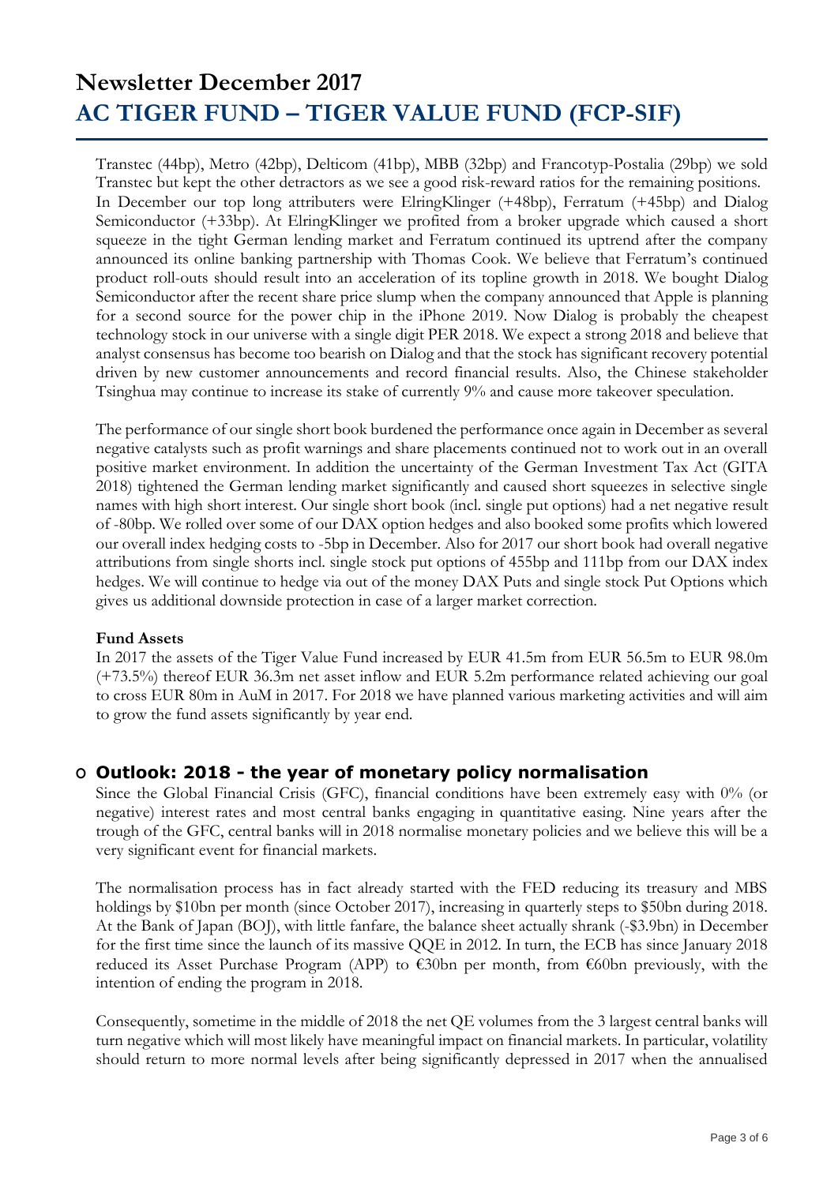Transtec (44bp), Metro (42bp), Delticom (41bp), MBB (32bp) and Francotyp-Postalia (29bp) we sold Transtec but kept the other detractors as we see a good risk-reward ratios for the remaining positions. In December our top long attributers were ElringKlinger (+48bp), Ferratum (+45bp) and Dialog Semiconductor (+33bp). At ElringKlinger we profited from a broker upgrade which caused a short squeeze in the tight German lending market and Ferratum continued its uptrend after the company announced its online banking partnership with Thomas Cook. We believe that Ferratum's continued product roll-outs should result into an acceleration of its topline growth in 2018. We bought Dialog Semiconductor after the recent share price slump when the company announced that Apple is planning for a second source for the power chip in the iPhone 2019. Now Dialog is probably the cheapest technology stock in our universe with a single digit PER 2018. We expect a strong 2018 and believe that analyst consensus has become too bearish on Dialog and that the stock has significant recovery potential driven by new customer announcements and record financial results. Also, the Chinese stakeholder Tsinghua may continue to increase its stake of currently 9% and cause more takeover speculation.

The performance of our single short book burdened the performance once again in December as several negative catalysts such as profit warnings and share placements continued not to work out in an overall positive market environment. In addition the uncertainty of the German Investment Tax Act (GITA 2018) tightened the German lending market significantly and caused short squeezes in selective single names with high short interest. Our single short book (incl. single put options) had a net negative result of -80bp. We rolled over some of our DAX option hedges and also booked some profits which lowered our overall index hedging costs to -5bp in December. Also for 2017 our short book had overall negative attributions from single shorts incl. single stock put options of 455bp and 111bp from our DAX index hedges. We will continue to hedge via out of the money DAX Puts and single stock Put Options which gives us additional downside protection in case of a larger market correction.

#### **Fund Assets**

In 2017 the assets of the Tiger Value Fund increased by EUR 41.5m from EUR 56.5m to EUR 98.0m (+73.5%) thereof EUR 36.3m net asset inflow and EUR 5.2m performance related achieving our goal to cross EUR 80m in AuM in 2017. For 2018 we have planned various marketing activities and will aim to grow the fund assets significantly by year end.

### **O Outlook: 2018 - the year of monetary policy normalisation**

Since the Global Financial Crisis (GFC), financial conditions have been extremely easy with 0% (or negative) interest rates and most central banks engaging in quantitative easing. Nine years after the trough of the GFC, central banks will in 2018 normalise monetary policies and we believe this will be a very significant event for financial markets.

The normalisation process has in fact already started with the FED reducing its treasury and MBS holdings by \$10bn per month (since October 2017), increasing in quarterly steps to \$50bn during 2018. At the Bank of Japan (BOJ), with little fanfare, the balance sheet actually shrank (-\$3.9bn) in December for the first time since the launch of its massive QQE in 2012. In turn, the ECB has since January 2018 reduced its Asset Purchase Program (APP) to €30bn per month, from €60bn previously, with the intention of ending the program in 2018.

Consequently, sometime in the middle of 2018 the net QE volumes from the 3 largest central banks will turn negative which will most likely have meaningful impact on financial markets. In particular, volatility should return to more normal levels after being significantly depressed in 2017 when the annualised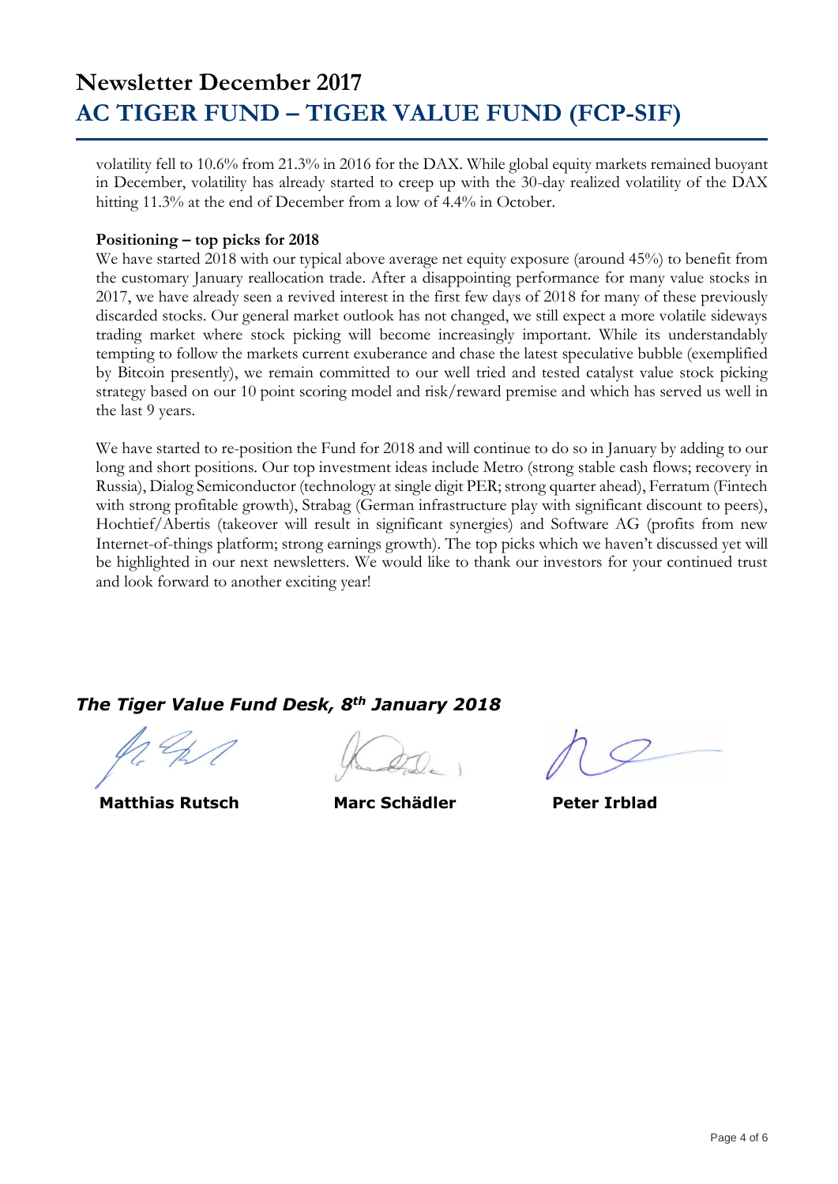volatility fell to 10.6% from 21.3% in 2016 for the DAX. While global equity markets remained buoyant in December, volatility has already started to creep up with the 30-day realized volatility of the DAX hitting 11.3% at the end of December from a low of 4.4% in October.

#### **Positioning – top picks for 2018**

We have started 2018 with our typical above average net equity exposure (around 45%) to benefit from the customary January reallocation trade. After a disappointing performance for many value stocks in 2017, we have already seen a revived interest in the first few days of 2018 for many of these previously discarded stocks. Our general market outlook has not changed, we still expect a more volatile sideways trading market where stock picking will become increasingly important. While its understandably tempting to follow the markets current exuberance and chase the latest speculative bubble (exemplified by Bitcoin presently), we remain committed to our well tried and tested catalyst value stock picking strategy based on our 10 point scoring model and risk/reward premise and which has served us well in the last 9 years.

We have started to re-position the Fund for 2018 and will continue to do so in January by adding to our long and short positions. Our top investment ideas include Metro (strong stable cash flows; recovery in Russia), Dialog Semiconductor (technology at single digit PER; strong quarter ahead), Ferratum (Fintech with strong profitable growth), Strabag (German infrastructure play with significant discount to peers), Hochtief/Abertis (takeover will result in significant synergies) and Software AG (profits from new Internet-of-things platform; strong earnings growth). The top picks which we haven't discussed yet will be highlighted in our next newsletters. We would like to thank our investors for your continued trust and look forward to another exciting year!

### *The Tiger Value Fund Desk, 8th January 2018*

 **Matthias Rutsch Marc Schädler Peter Irblad**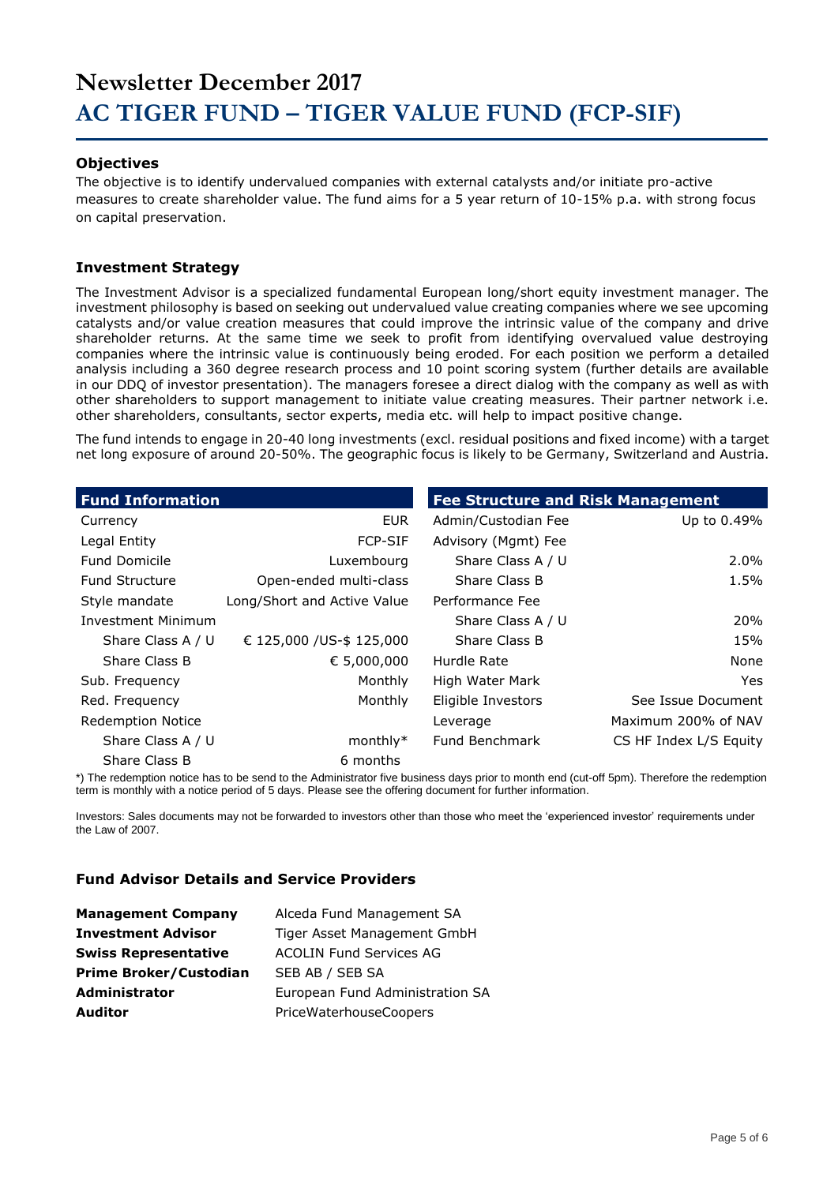#### **Objectives**

The objective is to identify undervalued companies with external catalysts and/or initiate pro-active measures to create shareholder value. The fund aims for a 5 year return of 10-15% p.a. with strong focus on capital preservation.

#### **Investment Strategy**

The Investment Advisor is a specialized fundamental European long/short equity investment manager. The investment philosophy is based on seeking out undervalued value creating companies where we see upcoming catalysts and/or value creation measures that could improve the intrinsic value of the company and drive shareholder returns. At the same time we seek to profit from identifying overvalued value destroying companies where the intrinsic value is continuously being eroded. For each position we perform a detailed analysis including a 360 degree research process and 10 point scoring system (further details are available in our DDQ of investor presentation). The managers foresee a direct dialog with the company as well as with other shareholders to support management to initiate value creating measures. Their partner network i.e. other shareholders, consultants, sector experts, media etc. will help to impact positive change.

The fund intends to engage in 20-40 long investments (excl. residual positions and fixed income) with a target net long exposure of around 20-50%. The geographic focus is likely to be Germany, Switzerland and Austria.

| <b>Fund Information</b>   |                             | <b>Fee Structure and Risk Management</b> |                        |  |  |  |
|---------------------------|-----------------------------|------------------------------------------|------------------------|--|--|--|
| Currency                  | <b>EUR</b>                  | Admin/Custodian Fee                      | Up to 0.49%            |  |  |  |
| Legal Entity              | <b>FCP-SIF</b>              | Advisory (Mgmt) Fee                      |                        |  |  |  |
| <b>Fund Domicile</b>      | Luxembourg                  | Share Class A / U                        | $2.0\%$                |  |  |  |
| <b>Fund Structure</b>     | Open-ended multi-class      | Share Class B                            | 1.5%                   |  |  |  |
| Style mandate             | Long/Short and Active Value | Performance Fee                          |                        |  |  |  |
| <b>Investment Minimum</b> |                             | Share Class A / U                        | 20%                    |  |  |  |
| Share Class A / U         | € 125,000 / US-\$ 125,000   | Share Class B                            | 15%                    |  |  |  |
| Share Class B             | € 5,000,000                 | Hurdle Rate                              | None                   |  |  |  |
| Sub. Frequency            | Monthly                     | High Water Mark                          | Yes.                   |  |  |  |
| Red. Frequency            | Monthly                     | Eligible Investors                       | See Issue Document     |  |  |  |
| <b>Redemption Notice</b>  |                             | Leverage                                 | Maximum 200% of NAV    |  |  |  |
| Share Class A / U         | $monthly*$                  | <b>Fund Benchmark</b>                    | CS HF Index L/S Equity |  |  |  |
| Share Class B             | 6 months                    |                                          |                        |  |  |  |

\*) The redemption notice has to be send to the Administrator five business days prior to month end (cut-off 5pm). Therefore the redemption term is monthly with a notice period of 5 days. Please see the offering document for further information.

Investors: Sales documents may not be forwarded to investors other than those who meet the 'experienced investor' requirements under the Law of 2007.

#### **Fund Advisor Details and Service Providers**

| <b>Management Company</b>     | Alceda Fund Management SA       |
|-------------------------------|---------------------------------|
| <b>Investment Advisor</b>     | Tiger Asset Management GmbH     |
| <b>Swiss Representative</b>   | <b>ACOLIN Fund Services AG</b>  |
| <b>Prime Broker/Custodian</b> | SEB AB / SEB SA                 |
| <b>Administrator</b>          | European Fund Administration SA |
| <b>Auditor</b>                | PriceWaterhouseCoopers          |